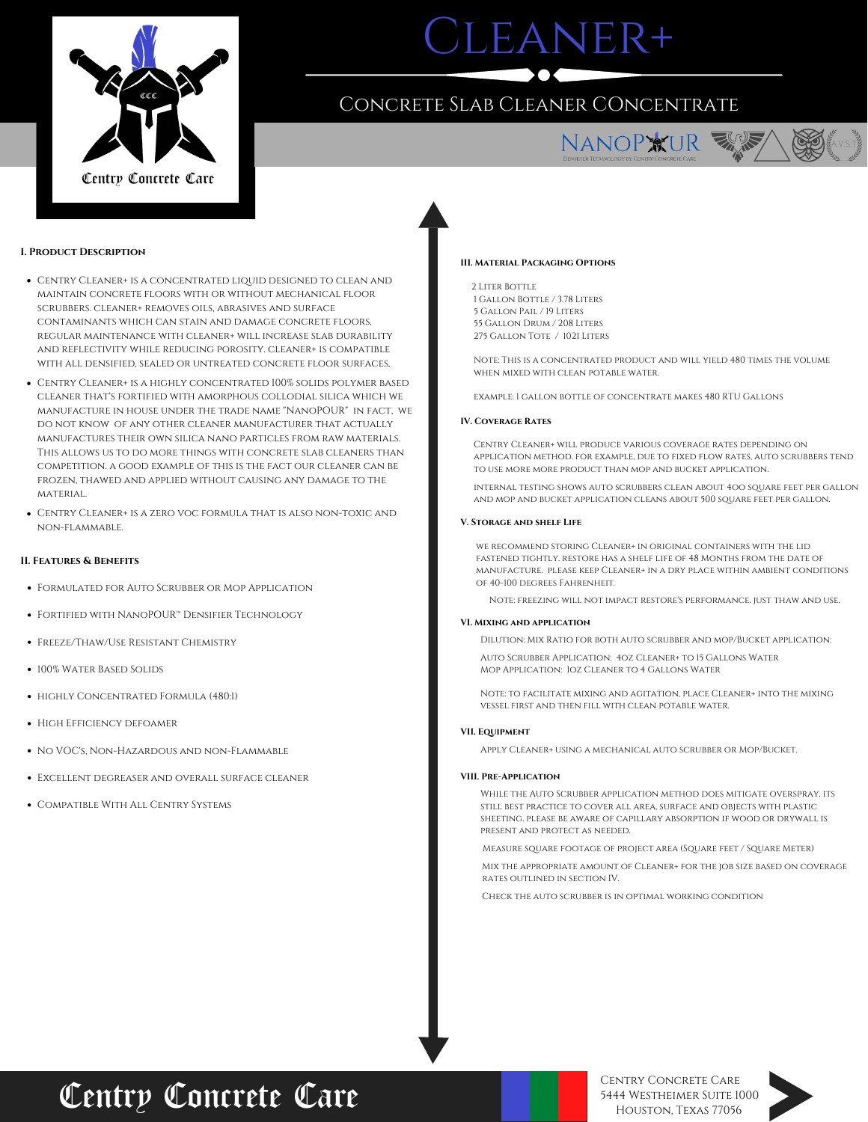

# LEANER+

### Concrete Slab Cleaner COncentrate



A.V.S.T.

### **I. Product Description**

- Centry Cleaner+ is a concentrated liquid designed to clean and maintain concrete floors with or without mechanical floor scrubbers. cleaner+ removes oils, abrasives and surface contaminants which can stain and damage concrete floors, regular maintenance with cleaner+ will increase slab durability and reflectivity while reducing porosity. cleaner+ is compatible with all densified, sealed or untreated concrete floor surfaces.
- Centry Cleaner+ is a highly concentrated 100% solids polymer based cleaner that's fortified with amorphous collodial silica which we manufacture in house under the trade name "NanoPOUR" in fact, we do not know of any other cleaner manufacturer that actually manufactures their own silica nano particles from raw materials. This allows us to do more things with concrete slab cleaners than competition. a good example of this is the fact our cleaner can be frozen, thawed and applied without causing any damage to the material.
- Centry Cleaner+ is a zero voc formula that is also non-toxic and non-flammable.

### **II. Features & Benefits**

- Formulated for Auto Scrubber or Mop Application
- FORTIFIED WITH NANOPOUR™ DENSIFIER TECHNOLOGY
- Freeze/Thaw/Use Resistant Chemistry
- 100% WATER BASED SOLIDS
- **HIGHLY CONCENTRATED FORMULA (480:1)**
- **HIGH EFFICIENCY DEFOAMER**
- NO VOC'S, NON-HAZARDOUS AND NON-FLAMMABLE
- Excellent degreaser and overall surface cleaner
- Compatible With All Centry Systems

### **III. Material Packaging Options**

 Liter Bottle Gallon Bottle / 3.78 Liters Gallon Pail / 19 Liters Gallon Drum / 208 Liters Gallon Tote / 1021 Liters

Note: This is a concentrated product and will yield 480 times the volume when mixed with clean potable water.

example: 1 gallon bottle of concentrate makes 480 RTU Gallons

### **IV. Coverage Rates**

Centry Cleaner+ will produce various coverage rates depending on application method. for example, due to fixed flow rates, auto scrubbers tend to use more more product than mop and bucket application.

internal testing shows auto scrubbers clean about 4oo square feet per gallon and mop and bucket application cleans about 500 square feet per gallon.

### **V. Storage and shelf Life**

we recommend storing Cleaner+ in original containers with the lid fastened tightly. restore has a shelf life of 48 Months from the date of manufacture. please keep Cleaner+ in a dry place within ambient conditions of 40-100 degrees Fahrenheit.

Note: freezing will not impact restore's performance. just thaw and use.

#### **VI. Mixing and application**

Dilution: Mix Ratio for both auto scrubber and mop/Bucket application:

Auto Scrubber Application: 4oz Cleaner+ to 15 Gallons Water Mop Application: 1oz Cleaner to 4 Gallons Water

Note: to facilitate mixing and agitation, place Cleaner+ into the mixing vessel first and then fill with clean potable water.

### **VII. Equipment**

Apply Cleaner+ using a mechanical auto scrubber or Mop/Bucket.

### **VIII. Pre-Application**

While the Auto Scrubber application method does mitigate overspray, its still best practice to cover all area, surface and objects with plastic sheeting. please be aware of capillary absorption if wood or drywall is present and protect as needed.

Measure square footage of project area (Square feet / Square Meter)

Mix the appropriate amount of Cleaner+ for the job size based on coverage rates outlined in section IV.

Check the auto scrubber is in optimal working condition

## Centry Concrete Care

Centry Concrete Care 5444 Westheimer Suite 1000 Houston, Texas 77056